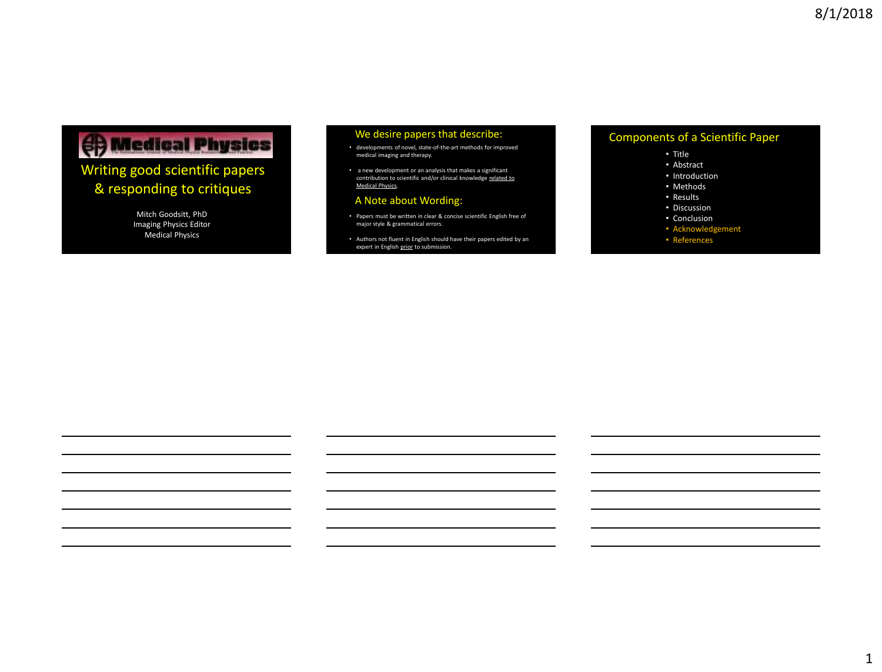# **OD** Medical Physics

### Writing good scientific papers & responding to critiques

Mitch Goodsitt, PhD Imaging Physics Editor Medical Physics

#### We desire papers that describe:

- developments of novel, state-of-the-art methods for improved medical imaging and therapy.
- a new development or an analysis that makes a significant contribution to scientific and/or clinical knowledge <u>related to</u><br>Medical Physics

#### A Note about Wording:

- Papers must be written in clear & concise scientific English free of major style & grammatical errors.
- Authors not fluent in English should have their papers edited by an expert in English prior to submission.

#### Components of a Scientific Paper

#### • Title

- Abstract
- Introduction
- Methods
- Results
- Discussion
- Conclusion
- Acknowledgement
- References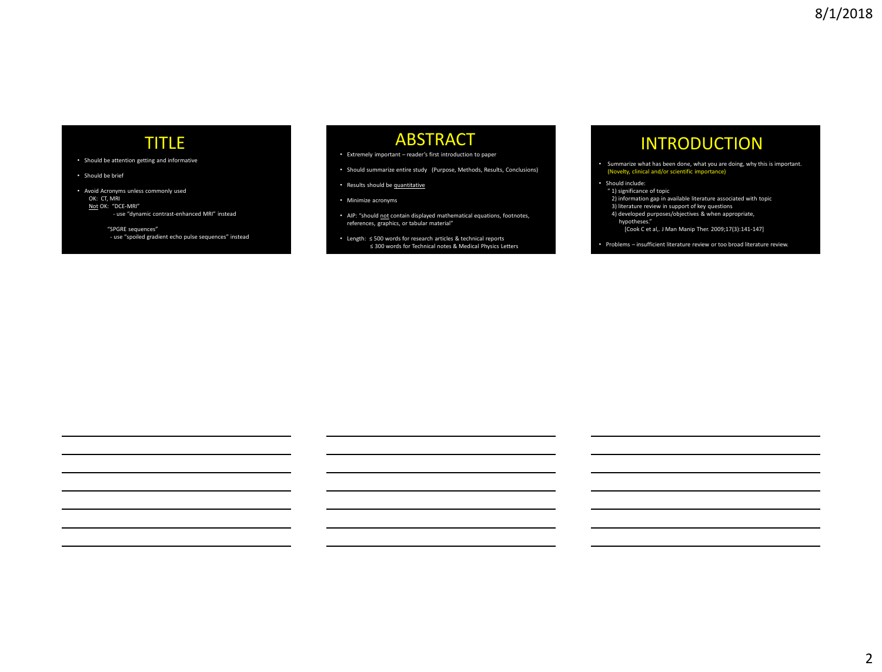### TITLE

- Should be attention getting and informative
- Should be brief

• Avoid Acronyms unless commonly used OK: CT, MRI Not OK: "DCE-MRI" - use "dynamic contrast-enhanced MRI" instead

"SPGRE sequences" - use "spoiled gradient echo pulse sequences" instead

### **ABSTRACT**

- Extremely important reader's first introduction to paper
- Should summarize entire study (Purpose, Methods, Results, Conclusions)
- Results should be quantitative
- Minimize acronyms
- AIP: "should not contain displayed mathematical equations, footnotes, references, graphics, or tabular material"
- Length: ≤ 500 words for research articles & technical reports ≤ 300 words for Technical notes & Medical Physics Letters

# INTRODUCTION

- Summarize what has been done, what you are doing, why this is important. (Novelty, clinical and/or scientific importance)
- Should include:
- " 1) significance of topic
	- 2) information gap in available literature associated with topic
- 3) literature review in support of key questions 4) developed purposes/objectives & when appropriate,
- hypotheses."
- [Cook C et al,. J Man Manip Ther. 2009;17(3):141-147]
- Problems insufficient literature review or too broad literature review.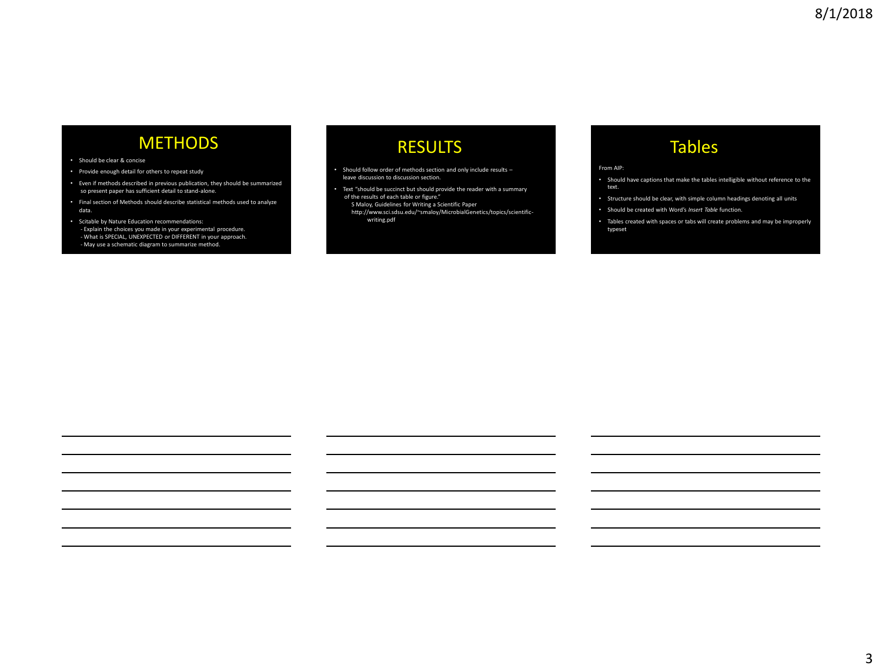# **METHODS**

#### • Should be clear & concise

- Provide enough detail for others to repeat study
- Even if methods described in previous publication, they should be summarized so present paper has sufficient detail to stand-alone.
- Final section of Methods should describe statistical methods used to analyze data.
- Scitable by Nature Education recommendations: - Explain the choices you made in your experimental procedure. - What is SPECIAL, UNEXPECTED or DIFFERENT in your approach. - May use a schematic diagram to summarize method.

### RESULTS

- Should follow order of methods section and only include results leave discussion to discussion section.
- Text "should be succinct but should provide the reader with a summary of the results of each table or figure."
- S Maloy, Guidelines for Writing a Scientific Paper http://www.sci.sdsu.edu/~smaloy/MicrobialGenetics/topics/scientific writing.pdf

# Tables

#### From AIP:

- Should have captions that make the tables intelligible without reference to the text.
- Structure should be clear, with simple column headings denoting all units
- Should be created with Word's *Insert Table* function.
- Tables created with spaces or tabs will create problems and may be improperly typeset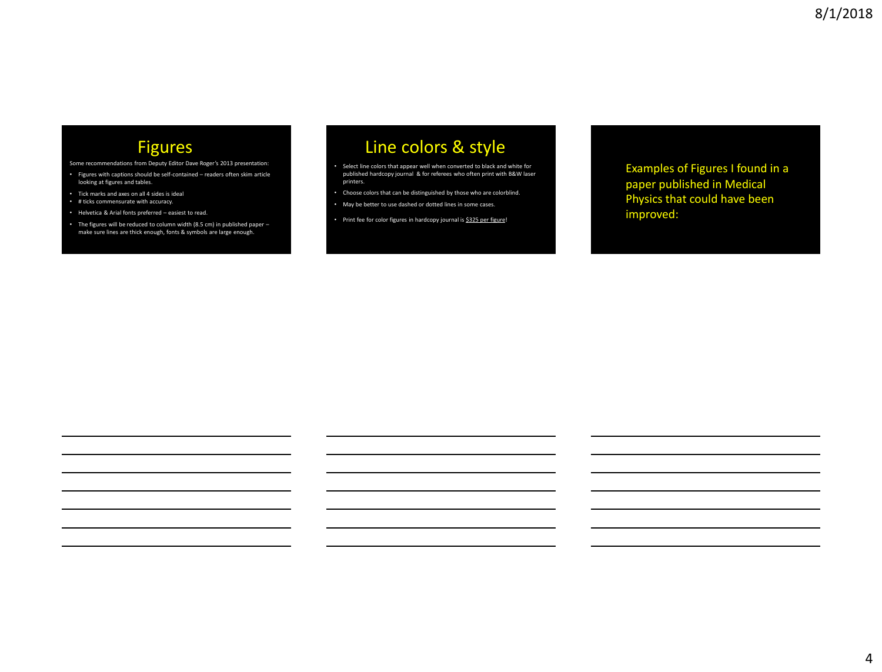# Figures

- Some recommendations from Deputy Editor Dave Roger's 2013 presentation:
- Figures with captions should be self-contained readers often skim article looking at figures and tables.
- Tick marks and axes on all 4 sides is ideal
- # ticks commensurate with accuracy.
- Helvetica & Arial fonts preferred easiest to read.
- The figures will be reduced to column width (8.5 cm) in published paper make sure lines are thick enough, fonts & symbols are large enough.

# Line colors & style

- Select line colors that appear well when converted to black and white for published hardcopy journal & for referees who often print with B&W laser printers.
- Choose colors that can be distinguished by those who are colorblind.
- May be better to use dashed or dotted lines in some cases.
- Print fee for color figures in hardcopy journal is \$325 per figure!

Examples of Figures I found in a paper published in Medical Physics that could have been improved: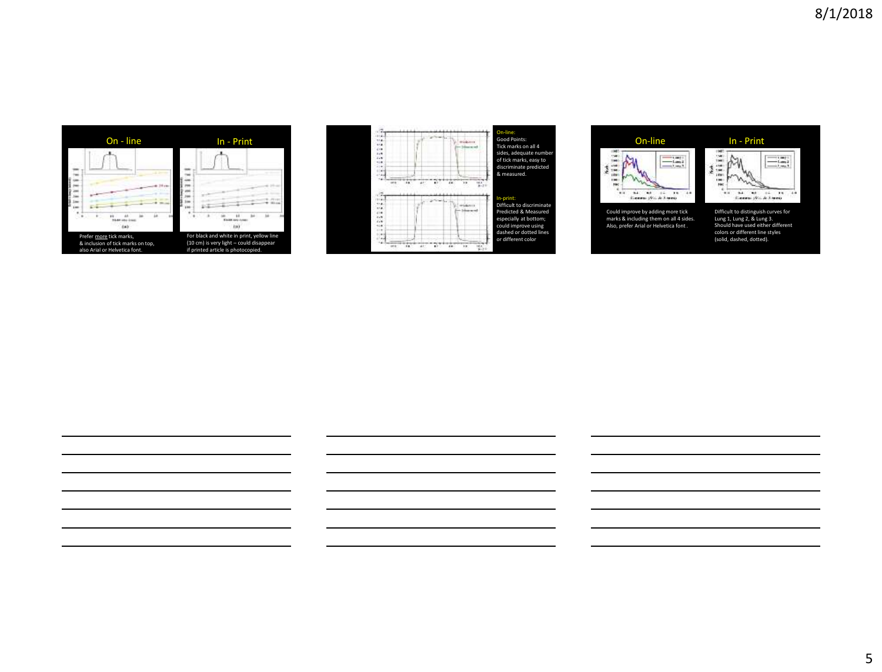



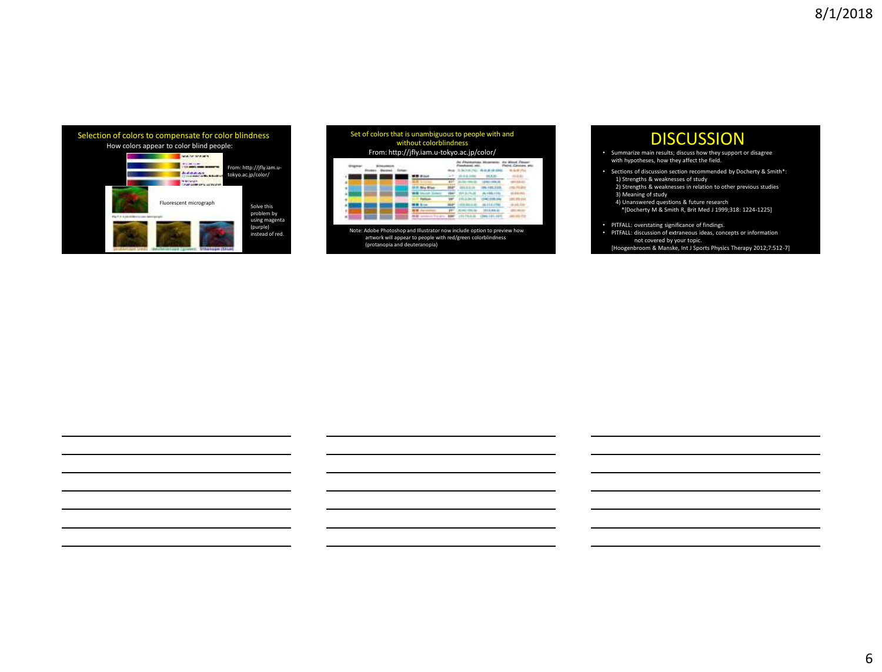| Selection of colors to compensate for color blindness | How colors appear to color blind people: |                                                |
|-------------------------------------------------------|------------------------------------------|------------------------------------------------|
|                                                       |                                          | From: http://jfly.iam.u-<br>tokyo.ac.jp/color/ |
|                                                       | Fluorescent micrograph                   | Solve this<br>problem by                       |
|                                                       |                                          | using magenta<br>(purple)<br>instead of red.   |

| Set of colors that is unambiguous to people with and<br>without colorblindness<br>From: http://jfly.iam.u-tokyo.ac.jp/color/ |  |  |  |  |  |  |  |  |  |
|------------------------------------------------------------------------------------------------------------------------------|--|--|--|--|--|--|--|--|--|
|                                                                                                                              |  |  |  |  |  |  |  |  |  |
|                                                                                                                              |  |  |  |  |  |  |  |  |  |
|                                                                                                                              |  |  |  |  |  |  |  |  |  |
|                                                                                                                              |  |  |  |  |  |  |  |  |  |
|                                                                                                                              |  |  |  |  |  |  |  |  |  |
|                                                                                                                              |  |  |  |  |  |  |  |  |  |
|                                                                                                                              |  |  |  |  |  |  |  |  |  |
|                                                                                                                              |  |  |  |  |  |  |  |  |  |
|                                                                                                                              |  |  |  |  |  |  |  |  |  |

Note: Adobe Photoshop and Illustrator now include option to preview how artwork will appear to people with red/green colorblindness (protanopia and deuteranopia)

# **DISCUSSION**

- Summarize main results; discuss how they support or disagree with hypotheses, how they affect the field.
- Sections of discussion section recommended by Docherty & Smith\*: 1) Strengths & weaknesses of study 2) Strengths & weaknesses in relation to other previous studies 3) Meaning of study
	- 4) Unanswered questions & future research
	- \*[Docherty M & Smith R, Brit Med J 1999;318: 1224-1225]
- 
- PITFALL: overstating significance of findings. PITFALL: discussion of extraneous ideas, concepts or information not covered by your topic. [Hoogenbroom & Manske, Int J Sports Physics Therapy 2012;7:512-7]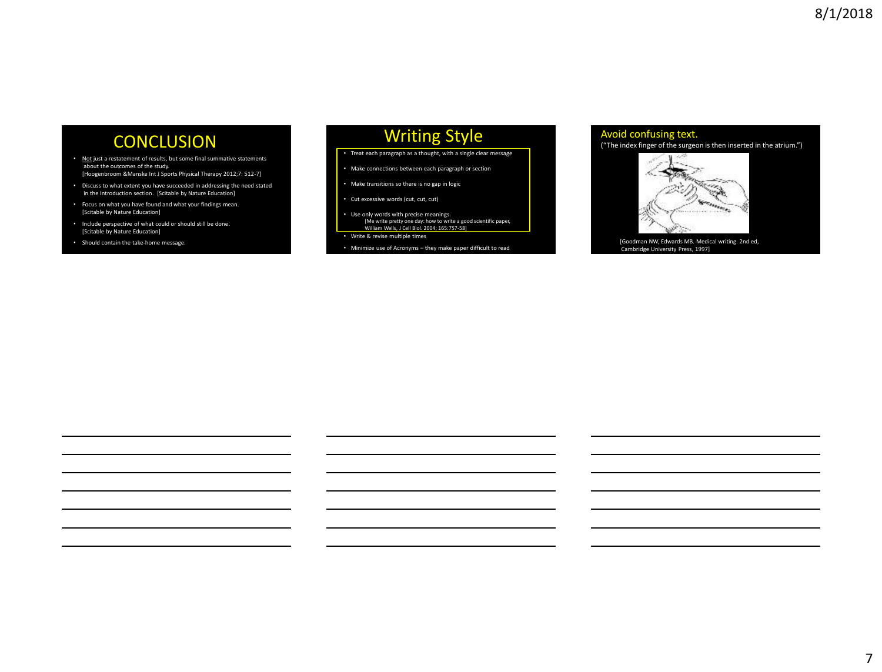# **CONCLUSION**

- Not just a restatement of results, but some final summative statements about the outcomes of the study. [Hoogenbroom &Manske Int J Sports Physical Therapy 2012;7: 512-7]
- Discuss to what extent you have succeeded in addressing the need stated in the Introduction section. [Scitable by Nature Education]
- Focus on what you have found and what your findings mean. [Scitable by Nature Education]
- Include perspective of what could or should still be done. [Scitable by Nature Education]
- Should contain the take-home message.

### Writing Style

- Treat each paragraph as a thought, with a single clear message
- Make connections between each paragraph or section
- Make transitions so there is no gap in logic
- Cut excessive words (cut, cut, cut)
- Use only words with precise meanings. [Me write pretty one day: how to write a good scientific paper, William Wells, J Cell Biol. 2004; 165:757-58]
- Write & revise multiple times
- Minimize use of Acronyms they make paper difficult to read

#### Avoid confusing text. ("The index finger of the surgeon is then inserted in the atrium.")



Cambridge University Press, 1997]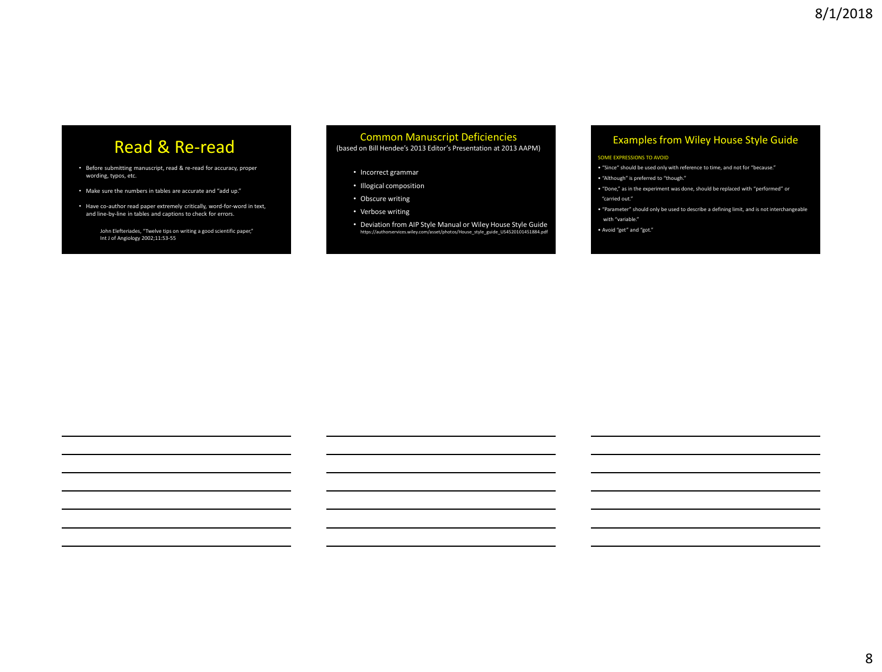# Read & Re-read

- Before submitting manuscript, read & re-read for accuracy, proper wording, typos, etc.
- Make sure the numbers in tables are accurate and "add up."
- Have co-author read paper extremely critically, word-for-word in text, and line-by-line in tables and captions to check for errors.

John Elefteriades, "Twelve tips on writing a good scientific paper," Int J of Angiology 2002;11:53-55

#### Common Manuscript Deficiencies (based on Bill Hendee's 2013 Editor's Presentation at 2013 AAPM)

- Incorrect grammar
- Illogical composition
- Obscure writing
- Verbose writing
- Deviation from AIP Style Manual or Wiley House Style Guide https://authorservices.wiley.com/asset/photos/House\_style\_guide\_US4520101451884.pdf

#### Examples from Wiley House Style Guide

#### SOME EXPRESSIONS TO AVOID

• "Since" should be used only with reference to time, and not for "because."

• "Although" is preferred to "though."

- "Done," as in the experiment was done, should be replaced with "performed" or "carried out."
- "Parameter" should only be used to describe a defining limit, and is not interchangeable

with "variable."

• Avoid "get" and "got."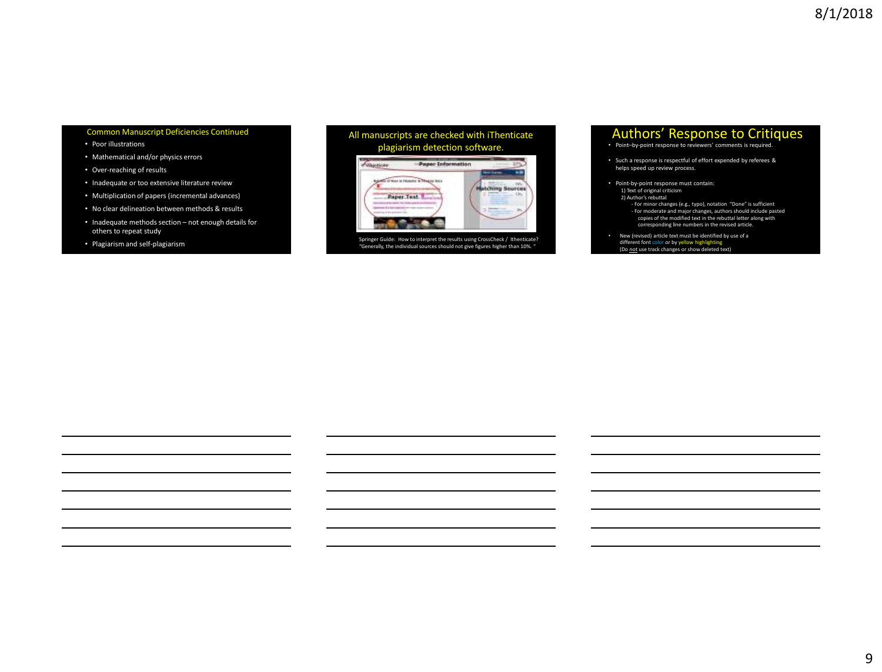- Poor illustrations
- Mathematical and/or physics errors
- Over-reaching of results
- Inadequate or too extensive literature review
- Multiplication of papers (incremental advances)
- No clear delineation between methods & results
- Inadequate methods section not enough details for others to repeat study
- Plagiarism and self-plagiarism





Springer Guide: How to interpret the results using CrossCheck / Ithenticate? "Generally, the individual sources should not give figures higher than 10%. "

# Authors' Response to Critiques<br>• Point-by-point response to reviewers' comments is required.

- 
- Such a response is respectful of effort expended by referees & helps speed up review process.
- Point-by-point response must contain: 1) Text of original criticism
	- 2) Author's rebuttal
	- For minor changes (e.g., typo), notation "Done" is sufficient
	- For moderate and major changes, authors should include pasted copies of the modified text in the rebuttal letter along with corresponding line numbers in the revised article.
- New (revised) article text must be identified by use of a different font color or by yellow highlighting<br>(Do <u>not</u> use track changes or show deleted text)